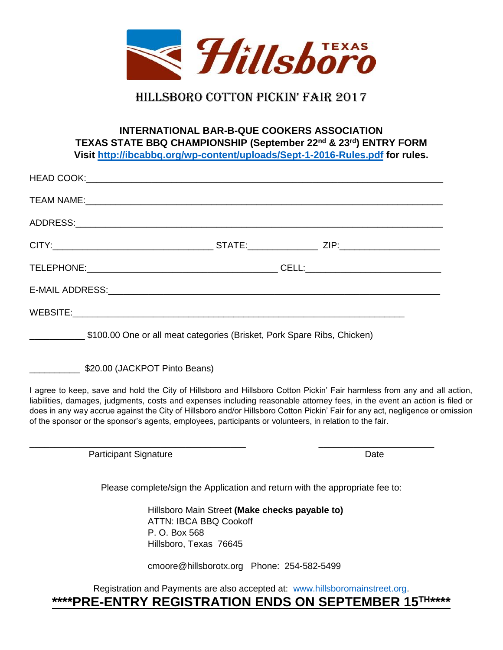

# Hillsboro cotton pickin' fair 2017

### **INTERNATIONAL BAR-B-QUE COOKERS ASSOCIATION TEXAS STATE BBQ CHAMPIONSHIP (September 22 nd & 23 rd) ENTRY FORM Visit<http://ibcabbq.org/wp-content/uploads/Sept-1-2016-Rules.pdf> for rules.**

\$100.00 One or all meat categories (Brisket, Pork Spare Ribs, Chicken)

\_\_\_\_\_\_\_\_\_\_\_\_\_\_\_\_\_\_\_\_\_\_\_\_\_\_\_\_\_\_\_\_\_\_\_\_\_\_\_\_\_\_\_ \_\_\_\_\_\_\_\_\_\_\_\_\_\_\_\_\_\_\_\_\_\_\_

\$20.00 (JACKPOT Pinto Beans)

I agree to keep, save and hold the City of Hillsboro and Hillsboro Cotton Pickin' Fair harmless from any and all action, liabilities, damages, judgments, costs and expenses including reasonable attorney fees, in the event an action is filed or does in any way accrue against the City of Hillsboro and/or Hillsboro Cotton Pickin' Fair for any act, negligence or omission of the sponsor or the sponsor's agents, employees, participants or volunteers, in relation to the fair.

Participant Signature **Date** Date **Date** 

Please complete/sign the Application and return with the appropriate fee to:

Hillsboro Main Street **(Make checks payable to)** ATTN: IBCA BBQ Cookoff P. O. Box 568 Hillsboro, Texas 76645

cmoore@hillsborotx.org Phone: 254-582-5499

Registration and Payments are also accepted at: [www.hillsboromainstreet.org.](http://www.hillsboromainstreet.org/) **\*\*\*\*PRE-ENTRY REGISTRATION ENDS ON SEPTEMBER 15 TH\*\*\*\***